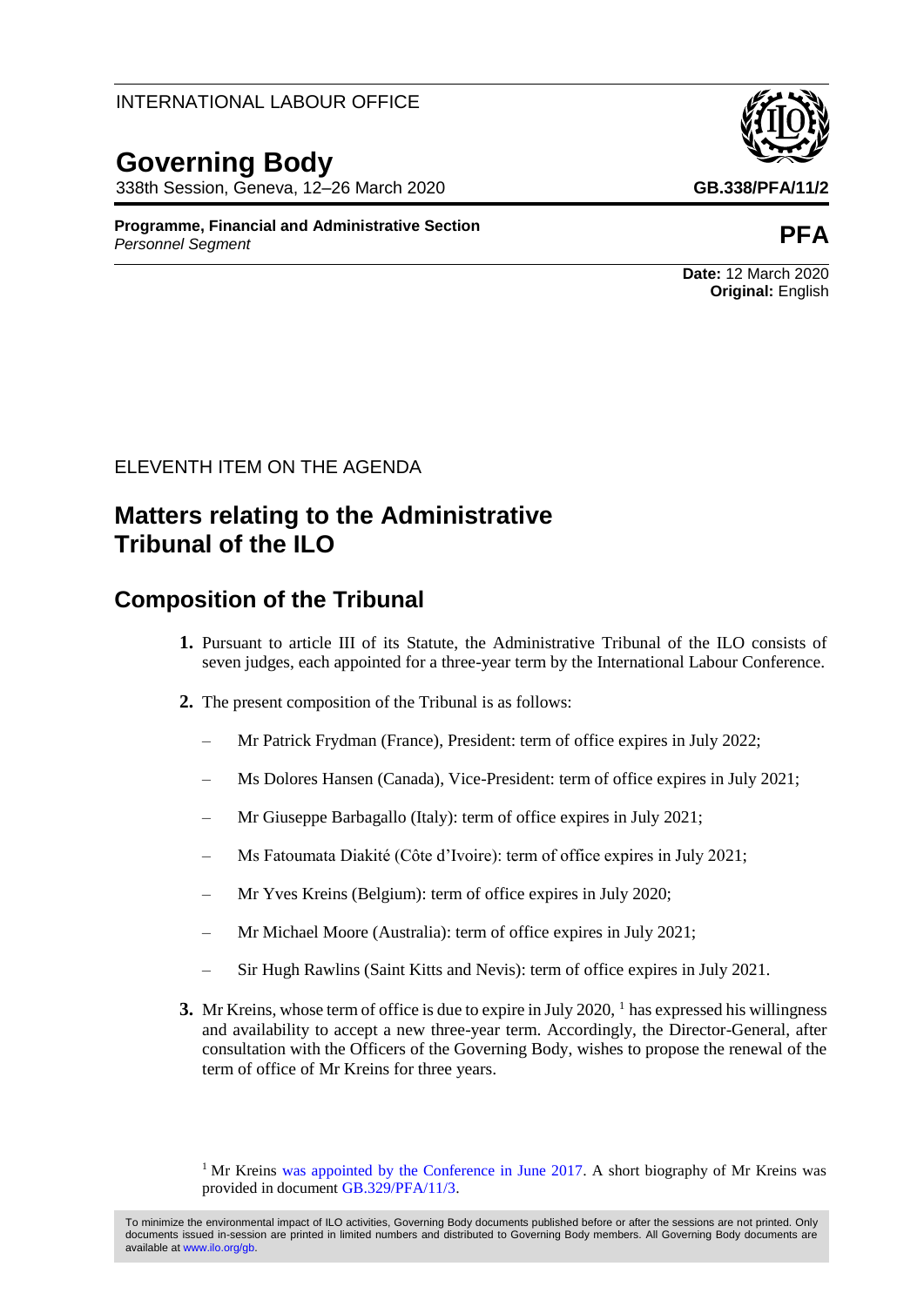#### INTERNATIONAL LABOUR OFFICE

# **Governing Body**

338th Session, Geneva, 12–26 March 2020 **GB.338/PFA/11/2**

**Programme, Financial and Administrative Section** *Personnel Segment* **PFA**

### ELEVENTH ITEM ON THE AGENDA

## **Matters relating to the Administrative Tribunal of the ILO**

### **Composition of the Tribunal**

- **1.** Pursuant to article III of its Statute, the Administrative Tribunal of the ILO consists of seven judges, each appointed for a three-year term by the International Labour Conference.
- **2.** The present composition of the Tribunal is as follows:
	- Mr Patrick Frydman (France), President: term of office expires in July 2022;
	- Ms Dolores Hansen (Canada), Vice-President: term of office expires in July 2021;
	- Mr Giuseppe Barbagallo (Italy): term of office expires in July 2021;
	- Ms Fatoumata Diakité (Côte d'Ivoire): term of office expires in July 2021;
	- Mr Yves Kreins (Belgium): term of office expires in July 2020;
	- Mr Michael Moore (Australia): term of office expires in July 2021;
	- Sir Hugh Rawlins (Saint Kitts and Nevis): term of office expires in July 2021.
- **3.** Mr Kreins, whose term of office is due to expire in July 2020, <sup>1</sup> has expressed his willingness and availability to accept a new three-year term. Accordingly, the Director-General, after consultation with the Officers of the Governing Body, wishes to propose the renewal of the term of office of Mr Kreins for three years.

<sup>1</sup> Mr Kreins was appointed [by the Conference in June 2017.](https://www.ilo.org/wcmsp5/groups/public/---ed_norm/---relconf/documents/meetingdocument/wcms_561877.pdf) A short biography of Mr Kreins was provided in document [GB.329/PFA/11/3.](https://www.ilo.org/wcmsp5/groups/public/---ed_norm/---relconf/documents/meetingdocument/wcms_547069.pdf)

**Date:** 12 March 2020 **Original:** English